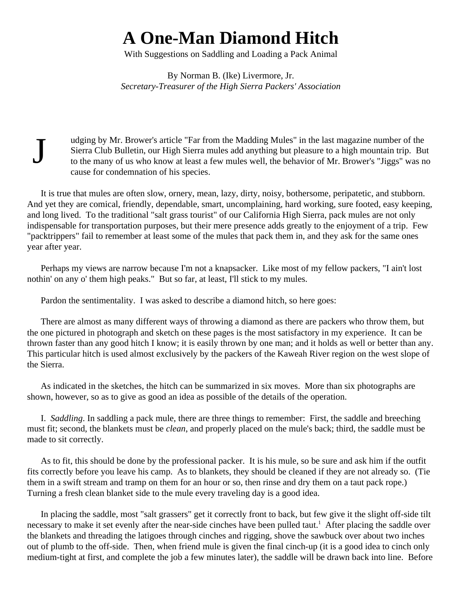## **A One-Man Diamond Hitch**

With Suggestions on Saddling and Loading a Pack Animal

By Norman B. (Ike) Livermore, Jr. *Secretary-Treasurer of the High Sierra Packers' Association*

udging by Mr. Brower's article "Far from the Madding Mules" in the last magazine number of the Sierra Club Bulletin, our High Sierra mules add anything but pleasure to a high mountain trip. But to the many of us who know at least a few mules well, the behavior of Mr. Brower's "Jiggs" was no cause for condemnation of his species.

It is true that mules are often slow, ornery, mean, lazy, dirty, noisy, bothersome, peripatetic, and stubborn. And yet they are comical, friendly, dependable, smart, uncomplaining, hard working, sure footed, easy keeping, and long lived. To the traditional "salt grass tourist" of our California High Sierra, pack mules are not only indispensable for transportation purposes, but their mere presence adds greatly to the enjoyment of a trip. Few "packtrippers" fail to remember at least some of the mules that pack them in, and they ask for the same ones year after year.

Perhaps my views are narrow because I'm not a knapsacker. Like most of my fellow packers, "I ain't lost nothin' on any o' them high peaks." But so far, at least, I'll stick to my mules.

Pardon the sentimentality. I was asked to describe a diamond hitch, so here goes:

J

There are almost as many different ways of throwing a diamond as there are packers who throw them, but the one pictured in photograph and sketch on these pages is the most satisfactory in my experience. It can be thrown faster than any good hitch I know; it is easily thrown by one man; and it holds as well or better than any. This particular hitch is used almost exclusively by the packers of the Kaweah River region on the west slope of the Sierra.

As indicated in the sketches, the hitch can be summarized in six moves. More than six photographs are shown, however, so as to give as good an idea as possible of the details of the operation.

I. *Saddling*. In saddling a pack mule, there are three things to remember: First, the saddle and breeching must fit; second, the blankets must be *clean*, and properly placed on the mule's back; third, the saddle must be made to sit correctly.

As to fit, this should be done by the professional packer. It is his mule, so be sure and ask him if the outfit fits correctly before you leave his camp. As to blankets, they should be cleaned if they are not already so. (Tie them in a swift stream and tramp on them for an hour or so, then rinse and dry them on a taut pack rope.) Turning a fresh clean blanket side to the mule every traveling day is a good idea.

In placing the saddle, most "salt grassers" get it correctly front to back, but few give it the slight off-side tilt necessary to make it set evenly after the near-side cinches have been pulled taut.<sup>1</sup> After placing the saddle over the blankets and threading the latigoes through cinches and rigging, shove the sawbuck over about two inches out of plumb to the off-side. Then, when friend mule is given the final cinch-up (it is a good idea to cinch only medium-tight at first, and complete the job a few minutes later), the saddle will be drawn back into line. Before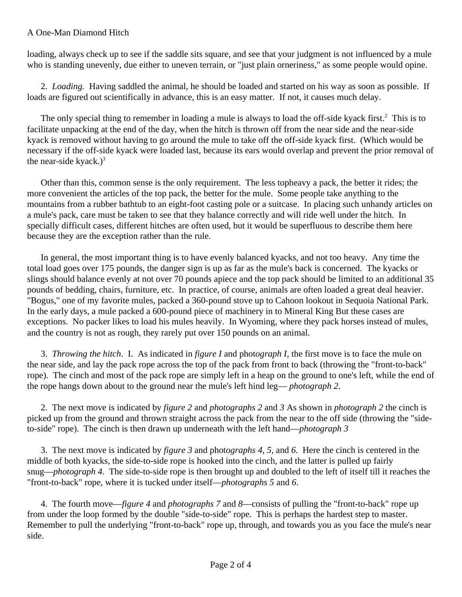## A One-Man Diamond Hitch

loading, always check up to see if the saddle sits square, and see that your judgment is not influenced by a mule who is standing unevenly, due either to uneven terrain, or "just plain orneriness," as some people would opine.

2. *Loading.* Having saddled the animal, he should be loaded and started on his way as soon as possible. If loads are figured out scientifically in advance, this is an easy matter. If not, it causes much delay.

The only special thing to remember in loading a mule is always to load the off-side kyack first.<sup>2</sup> This is to facilitate unpacking at the end of the day, when the hitch is thrown off from the near side and the near-side kyack is removed without having to go around the mule to take off the off-side kyack first. (Which would be necessary if the off-side kyack were loaded last, because its ears would overlap and prevent the prior removal of the near-side kyack.) $3$ 

Other than this, common sense is the only requirement. The less topheavy a pack, the better it rides; the more convenient the articles of the top pack, the better for the mule. Some people take anything to the mountains from a rubber bathtub to an eight-foot casting pole or a suitcase. In placing such unhandy articles on a mule's pack, care must be taken to see that they balance correctly and will ride well under the hitch. In specially difficult cases, different hitches are often used, but it would be superfluous to describe them here because they are the exception rather than the rule.

In general, the most important thing is to have evenly balanced kyacks, and not too heavy. Any time the total load goes over 175 pounds, the danger sign is up as far as the mule's back is concerned. The kyacks or slings should balance evenly at not over 70 pounds apiece and the top pack should be limited to an additional 35 pounds of bedding, chairs, furniture, etc. In practice, of course, animals are often loaded a great deal heavier. "Bogus," one of my favorite mules, packed a 360-pound stove up to Cahoon lookout in Sequoia National Park. In the early days, a mule packed a 600-pound piece of machinery in to Mineral King But these cases are exceptions. No packer likes to load his mules heavily. In Wyoming, where they pack horses instead of mules, and the country is not as rough, they rarely put over 150 pounds on an animal.

3. *Throwing the hitch*. I. As indicated in *figure I* and phot*ograph I*, the first move is to face the mule on the near side, and lay the pack rope across the top of the pack from front to back (throwing the "front-to-back" rope). The cinch and most of the pack rope are simply left in a heap on the ground to one's left, while the end of the rope hangs down about to the ground near the mule's left hind leg— *photograph 2*.

2. The next move is indicated by *figure 2* and *photographs 2* and *3* As shown in *photograph 2* the cinch is picked up from the ground and thrown straight across the pack from the near to the off side (throwing the "sideto-side" rope). The cinch is then drawn up underneath with the left hand—*photograph 3*

3. The next move is indicated by *figure 3* and phot*ographs 4, 5,* and *6*. Here the cinch is centered in the middle of both kyacks, the side-to-side rope is hooked into the cinch, and the latter is pulled up fairly snug—*photograph 4*. The side-to-side rope is then brought up and doubled to the left of itself till it reaches the "front-to-back" rope, where it is tucked under itself—*photographs 5* and *6*.

4. The fourth move—*figure 4* and *photographs 7* and *8*—consists of pulling the "front-to-back" rope up from under the loop formed by the double "side-to-side" rope. This is perhaps the hardest step to master. Remember to pull the underlying "front-to-back" rope up, through, and towards you as you face the mule's near side.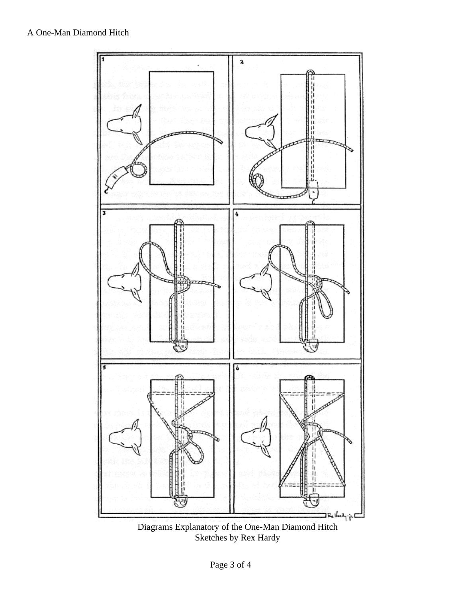

Diagrams Explanatory of the One-Man Diamond Hitch Sketches by Rex Hardy